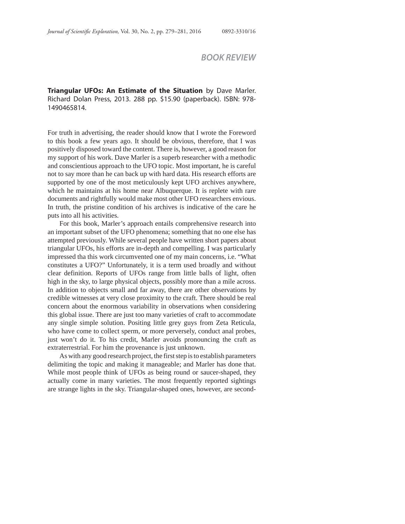## *BOOK REVIEW*

**Triangular UFOs: An Estimate of the Situation** by Dave Marler. Richard Dolan Press, 2013. 288 pp. \$15.90 (paperback). ISBN: 978- 1490465814.

For truth in advertising, the reader should know that I wrote the Foreword to this book a few years ago. It should be obvious, therefore, that I was positively disposed toward the content. There is, however, a good reason for my support of his work. Dave Marler is a superb researcher with a methodic and conscientious approach to the UFO topic. Most important, he is careful not to say more than he can back up with hard data. His research efforts are supported by one of the most meticulously kept UFO archives anywhere, which he maintains at his home near Albuquerque. It is replete with rare documents and rightfully would make most other UFO researchers envious. In truth, the pristine condition of his archives is indicative of the care he puts into all his activities.

For this book, Marler's approach entails comprehensive research into an important subset of the UFO phenomena; something that no one else has attempted previously. While several people have written short papers about triangular UFOs, his efforts are in-depth and compelling. I was particularly impressed tha this work circumvented one of my main concerns, i.e. "What constitutes a UFO?" Unfortunately, it is a term used broadly and without clear definition. Reports of UFOs range from little balls of light, often high in the sky, to large physical objects, possibly more than a mile across. In addition to objects small and far away, there are other observations by credible witnesses at very close proximity to the craft. There should be real concern about the enormous variability in observations when considering this global issue. There are just too many varieties of craft to accommodate any single simple solution. Positing little grey guys from Zeta Reticula, who have come to collect sperm, or more perversely, conduct anal probes, just won't do it. To his credit, Marler avoids pronouncing the craft as extraterrestrial. For him the provenance is just unknown.

As with any good research project, the first step is to establish parameters delimiting the topic and making it manageable; and Marler has done that. While most people think of UFOs as being round or saucer-shaped, they actually come in many varieties. The most frequently reported sightings are strange lights in the sky. Triangular-shaped ones, however, are second-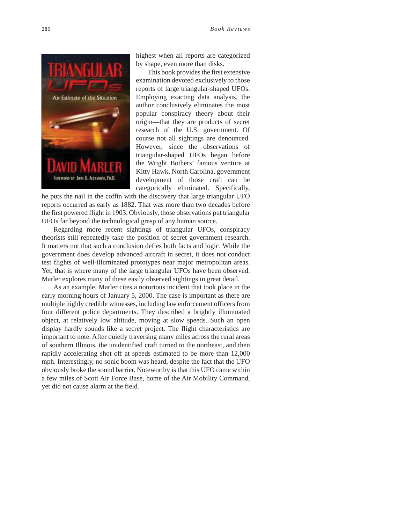

highest when all reports are categorized by shape, even more than disks.

This book provides the first extensive examination devoted exclusively to those reports of large triangular-shaped UFOs. Employing exacting data analysis, the author conclusively eliminates the most popular conspiracy theory about their origin—that they are products of secret research of the U.S. government. Of course not all sightings are denounced. However, since the observations of triangular-shaped UFOs began before the Wright Bothers' famous venture at Kitty Hawk, North Carolina, government development of those craft can be categorically eliminated. Specifically,

he puts the nail in the coffin with the discovery that large triangular UFO reports occurred as early as 1882. That was more than two decades before the first powered flight in 1903. Obviously, those observations put triangular UFOs far beyond the technological grasp of any human source.

Regarding more recent sightings of triangular UFOs, conspiracy theorists still repeatedly take the position of secret government research. It matters not that such a conclusion defies both facts and logic. While the government does develop advanced aircraft in secret, it does not conduct test flights of well-illuminated prototypes near major metropolitan areas. Yet, that is where many of the large triangular UFOs have been observed. Marler explores many of these easily observed sightings in great detail.

As an example, Marler cites a notorious incident that took place in the early morning hours of January 5, 2000. The case is important as there are multiple highly credible witnesses, including law enforcement officers from four different police departments. They described a brightly illuminated object, at relatively low altitude, moving at slow speeds. Such an open display hardly sounds like a secret project. The flight characteristics are important to note. After quietly traversing many miles across the rural areas of southern Illinois, the unidentified craft turned to the northeast, and then rapidly accelerating shot off at speeds estimated to be more than 12,000 mph. Interestingly, no sonic boom was heard, despite the fact that the UFO obviously broke the sound barrier. Noteworthy is that this UFO came within a few miles of Scott Air Force Base, home of the Air Mobility Command, yet did not cause alarm at the field.